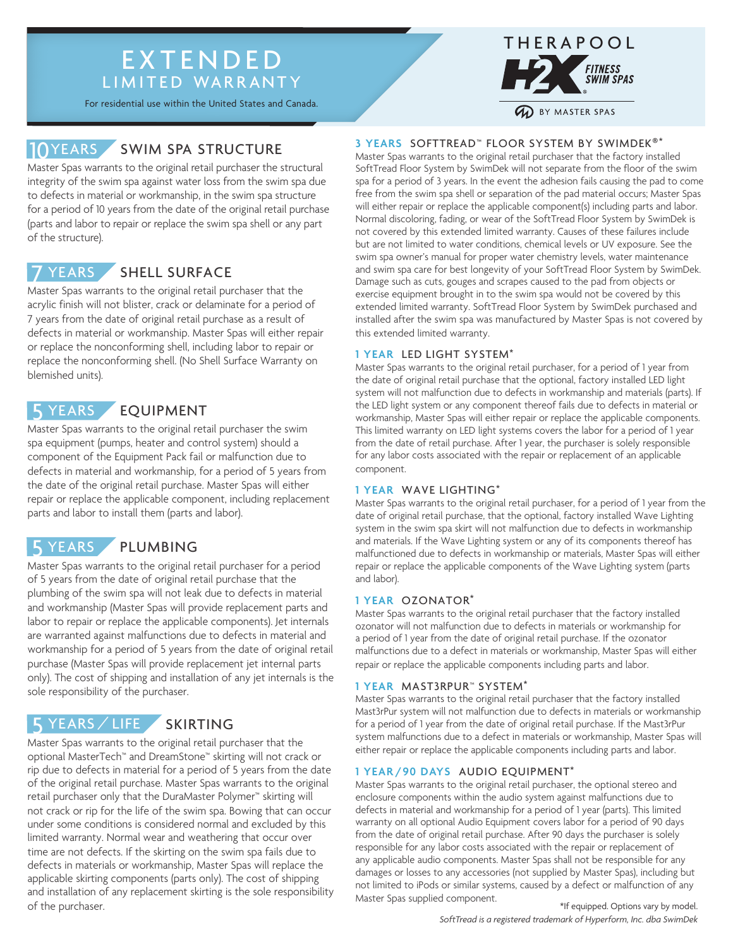# EXTENDED LIMITED WARRANTY

For residential use within the United States and Canada.

# 10YEARS SWIM SPA STRUCTURE

Master Spas warrants to the original retail purchaser the structural integrity of the swim spa against water loss from the swim spa due to defects in material or workmanship, in the swim spa structure for a period of 10 years from the date of the original retail purchase (parts and labor to repair or replace the swim spa shell or any part of the structure).

#### SHELL SURFACE **YEARS**

Master Spas warrants to the original retail purchaser that the acrylic finish will not blister, crack or delaminate for a period of 7 years from the date of original retail purchase as a result of defects in material or workmanship. Master Spas will either repair or replace the nonconforming shell, including labor to repair or replace the nonconforming shell. (No Shell Surface Warranty on blemished units).

#### EQUIPMENT 5 YEARS

Master Spas warrants to the original retail purchaser the swim spa equipment (pumps, heater and control system) should a component of the Equipment Pack fail or malfunction due to defects in material and workmanship, for a period of 5 years from the date of the original retail purchase. Master Spas will either repair or replace the applicable component, including replacement parts and labor to install them (parts and labor).

# 5 YEARS PLUMBING

Master Spas warrants to the original retail purchaser for a period of 5 years from the date of original retail purchase that the plumbing of the swim spa will not leak due to defects in material and workmanship (Master Spas will provide replacement parts and labor to repair or replace the applicable components). Jet internals are warranted against malfunctions due to defects in material and workmanship for a period of 5 years from the date of original retail purchase (Master Spas will provide replacement jet internal parts only). The cost of shipping and installation of any jet internals is the sole responsibility of the purchaser.

# 5 YEARS / LIFE SKIRTING

Master Spas warrants to the original retail purchaser that the optional MasterTech™ and DreamStone™ skirting will not crack or rip due to defects in material for a period of 5 years from the date of the original retail purchase. Master Spas warrants to the original retail purchaser only that the DuraMaster Polymer™ skirting will not crack or rip for the life of the swim spa. Bowing that can occur under some conditions is considered normal and excluded by this limited warranty. Normal wear and weathering that occur over time are not defects. If the skirting on the swim spa fails due to defects in materials or workmanship, Master Spas will replace the applicable skirting components (parts only). The cost of shipping and installation of any replacement skirting is the sole responsibility of the purchaser.

### **3 YEARS** SOFTTREAD™ FLOOR SYSTEM BY SWIMDEK®\*

Master Spas warrants to the original retail purchaser that the factory installed SoftTread Floor System by SwimDek will not separate from the floor of the swim spa for a period of 3 years. In the event the adhesion fails causing the pad to come free from the swim spa shell or separation of the pad material occurs; Master Spas will either repair or replace the applicable component(s) including parts and labor. Normal discoloring, fading, or wear of the SoftTread Floor System by SwimDek is not covered by this extended limited warranty. Causes of these failures include but are not limited to water conditions, chemical levels or UV exposure. See the swim spa owner's manual for proper water chemistry levels, water maintenance and swim spa care for best longevity of your SoftTread Floor System by SwimDek. Damage such as cuts, gouges and scrapes caused to the pad from objects or exercise equipment brought in to the swim spa would not be covered by this extended limited warranty. SoftTread Floor System by SwimDek purchased and installed after the swim spa was manufactured by Master Spas is not covered by this extended limited warranty.

### **1 YEAR** LED LIGHT SYSTEM\*

Master Spas warrants to the original retail purchaser, for a period of 1 year from the date of original retail purchase that the optional, factory installed LED light system will not malfunction due to defects in workmanship and materials (parts). If the LED light system or any component thereof fails due to defects in material or workmanship, Master Spas will either repair or replace the applicable components. This limited warranty on LED light systems covers the labor for a period of 1 year from the date of retail purchase. After 1 year, the purchaser is solely responsible for any labor costs associated with the repair or replacement of an applicable component.

### **1 YEAR** WAVE LIGHTING\*

Master Spas warrants to the original retail purchaser, for a period of 1 year from the date of original retail purchase, that the optional, factory installed Wave Lighting system in the swim spa skirt will not malfunction due to defects in workmanship and materials. If the Wave Lighting system or any of its components thereof has malfunctioned due to defects in workmanship or materials, Master Spas will either repair or replace the applicable components of the Wave Lighting system (parts and labor).

#### **1 YEAR** OZONATOR\*

Master Spas warrants to the original retail purchaser that the factory installed ozonator will not malfunction due to defects in materials or workmanship for a period of 1 year from the date of original retail purchase. If the ozonator malfunctions due to a defect in materials or workmanship, Master Spas will either repair or replace the applicable components including parts and labor.

#### **1 YEAR** MAST3RPUR™ SYSTEM\*

Master Spas warrants to the original retail purchaser that the factory installed Mast3rPur system will not malfunction due to defects in materials or workmanship for a period of 1 year from the date of original retail purchase. If the Mast3rPur system malfunctions due to a defect in materials or workmanship, Master Spas will either repair or replace the applicable components including parts and labor.

## **1 YEAR /90 DAYS** AUDIO EQUIPMENT\*

Master Spas warrants to the original retail purchaser, the optional stereo and enclosure components within the audio system against malfunctions due to defects in material and workmanship for a period of 1 year (parts). This limited warranty on all optional Audio Equipment covers labor for a period of 90 days from the date of original retail purchase. After 90 days the purchaser is solely responsible for any labor costs associated with the repair or replacement of any applicable audio components. Master Spas shall not be responsible for any damages or losses to any accessories (not supplied by Master Spas), including but not limited to iPods or similar systems, caused by a defect or malfunction of any Master Spas supplied component.